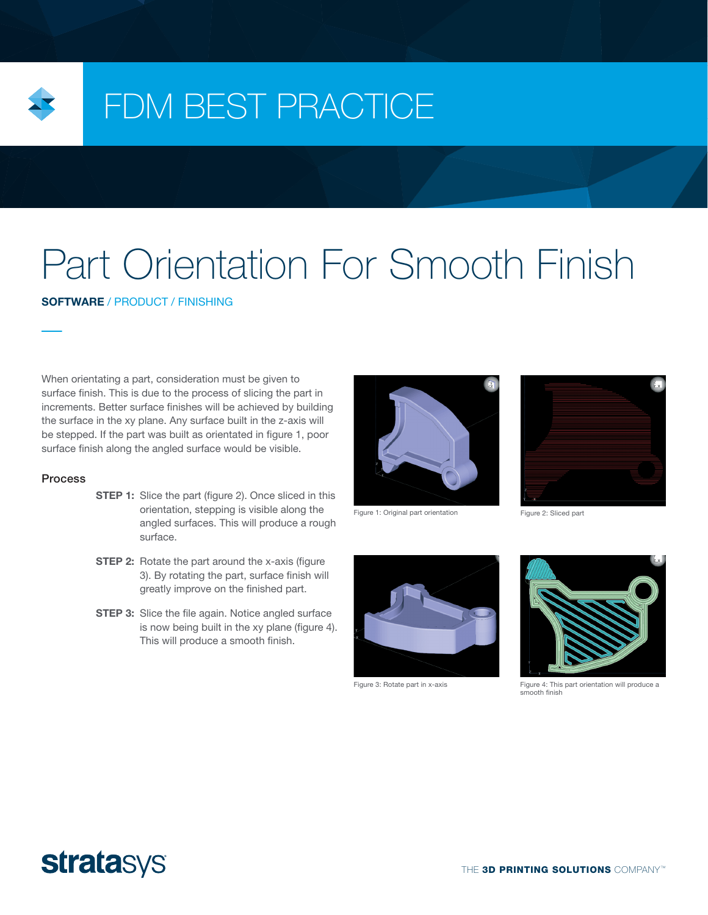

# FDM BEST PRACTICE

# Part Orientation For Smooth Finish

SOFTWARE / PRODUCT / FINISHING

When orientating a part, consideration must be given to surface finish. This is due to the process of slicing the part in increments. Better surface finishes will be achieved by building the surface in the xy plane. Any surface built in the z-axis will be stepped. If the part was built as orientated in figure 1, poor surface finish along the angled surface would be visible.

## **Process**

- **STEP 1:** Slice the part (figure 2). Once sliced in this orientation, stepping is visible along the angled surfaces. This will produce a rough surface.
- **STEP 2:** Rotate the part around the x-axis (figure 3). By rotating the part, surface finish will greatly improve on the finished part.
- **STEP 3:** Slice the file again. Notice angled surface is now being built in the xy plane (figure 4). This will produce a smooth finish.



Figure 1: Original part orientation Figure 2: Sliced part







Figure 3: Rotate part in x-axis Figure 4: This part orientation will produce a smooth finish